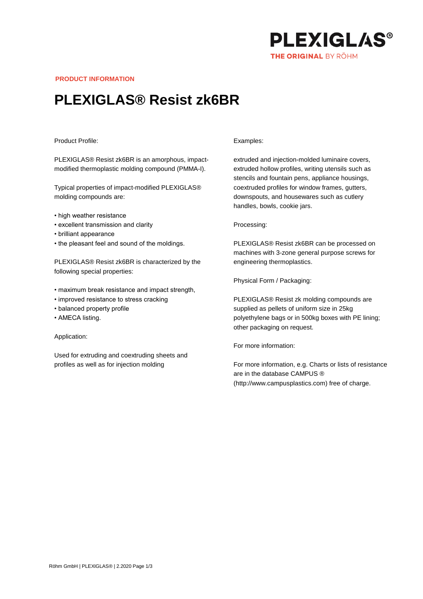

**PRODUCT INFORMATION**

## **PLEXIGLAS® Resist zk6BR**

## Product Profile:

PLEXIGLAS® Resist zk6BR is an amorphous, impactmodified thermoplastic molding compound (PMMA-I).

Typical properties of impact-modified PLEXIGLAS® molding compounds are:

- high weather resistance
- excellent transmission and clarity
- brilliant appearance
- the pleasant feel and sound of the moldings.

PLEXIGLAS® Resist zk6BR is characterized by the following special properties:

- maximum break resistance and impact strength,
- improved resistance to stress cracking
- balanced property profile
- AMECA listing.

Application:

Used for extruding and coextruding sheets and profiles as well as for injection molding

## Examples:

extruded and injection-molded luminaire covers, extruded hollow profiles, writing utensils such as stencils and fountain pens, appliance housings, coextruded profiles for window frames, gutters, downspouts, and housewares such as cutlery handles, bowls, cookie jars.

Processing:

PLEXIGLAS® Resist zk6BR can be processed on machines with 3-zone general purpose screws for engineering thermoplastics.

Physical Form / Packaging:

PLEXIGLAS® Resist zk molding compounds are supplied as pellets of uniform size in 25kg polyethylene bags or in 500kg boxes with PE lining; other packaging on request.

For more information:

For more information, e.g. Charts or lists of resistance are in the database CAMPUS ® (http://www.campusplastics.com) free of charge.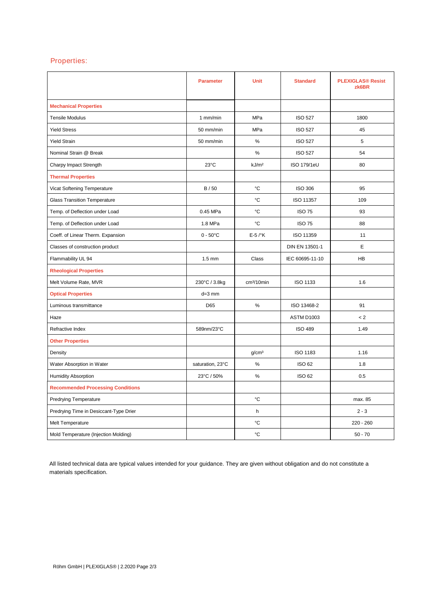## Properties:

|                                          | <b>Parameter</b>   | <b>Unit</b>            | <b>Standard</b>    | <b>PLEXIGLAS® Resist</b><br>zk6BR |
|------------------------------------------|--------------------|------------------------|--------------------|-----------------------------------|
| <b>Mechanical Properties</b>             |                    |                        |                    |                                   |
| <b>Tensile Modulus</b>                   | 1 mm/min           | MPa                    | <b>ISO 527</b>     | 1800                              |
| <b>Yield Stress</b>                      | 50 mm/min          | MPa                    | <b>ISO 527</b>     | 45                                |
| <b>Yield Strain</b>                      | 50 mm/min          | $\%$                   | <b>ISO 527</b>     | 5                                 |
| Nominal Strain @ Break                   |                    | $\%$                   | <b>ISO 527</b>     | 54                                |
| Charpy Impact Strength                   | $23^{\circ}$ C     | kJ/m <sup>2</sup>      | <b>ISO 179/1eU</b> | 80                                |
| <b>Thermal Properties</b>                |                    |                        |                    |                                   |
| Vicat Softening Temperature              | B/50               | °C                     | <b>ISO 306</b>     | 95                                |
| <b>Glass Transition Temperature</b>      |                    | °C                     | ISO 11357          | 109                               |
| Temp. of Deflection under Load           | 0.45 MPa           | °C                     | <b>ISO 75</b>      | 93                                |
| Temp. of Deflection under Load           | 1.8 MPa            | °C                     | <b>ISO 75</b>      | 88                                |
| Coeff. of Linear Therm. Expansion        | $0 - 50^{\circ}$ C | $E-5$ / $\mathrm{K}$   | ISO 11359          | 11                                |
| Classes of construction product          |                    |                        | DIN EN 13501-1     | E                                 |
| Flammability UL 94                       | $1.5 \text{ mm}$   | Class                  | IEC 60695-11-10    | HB                                |
| <b>Rheological Properties</b>            |                    |                        |                    |                                   |
| Melt Volume Rate, MVR                    | 230°C / 3.8kg      | cm <sup>3</sup> /10min | <b>ISO 1133</b>    | 1.6                               |
| <b>Optical Properties</b>                | $d=3$ mm           |                        |                    |                                   |
| Luminous transmittance                   | D65                | $\%$                   | ISO 13468-2        | 91                                |
| Haze                                     |                    |                        | ASTM D1003         | < 2                               |
| Refractive Index                         | 589nm/23°C         |                        | <b>ISO 489</b>     | 1.49                              |
| <b>Other Properties</b>                  |                    |                        |                    |                                   |
| Density                                  |                    | g/cm <sup>3</sup>      | <b>ISO 1183</b>    | 1.16                              |
| Water Absorption in Water                | saturation, 23°C   | $\%$                   | <b>ISO 62</b>      | 1.8                               |
| <b>Humidity Absorption</b>               | 23°C / 50%         | $\%$                   | <b>ISO 62</b>      | 0.5                               |
| <b>Recommended Processing Conditions</b> |                    |                        |                    |                                   |
| <b>Predrying Temperature</b>             |                    | °C                     |                    | max. 85                           |
| Predrying Time in Desiccant-Type Drier   |                    | h                      |                    | $2 - 3$                           |
| Melt Temperature                         |                    | °C                     |                    | $220 - 260$                       |
| Mold Temperature (Injection Molding)     |                    | °C                     |                    | $50 - 70$                         |

All listed technical data are typical values intended for your guidance. They are given without obligation and do not constitute a materials specification.